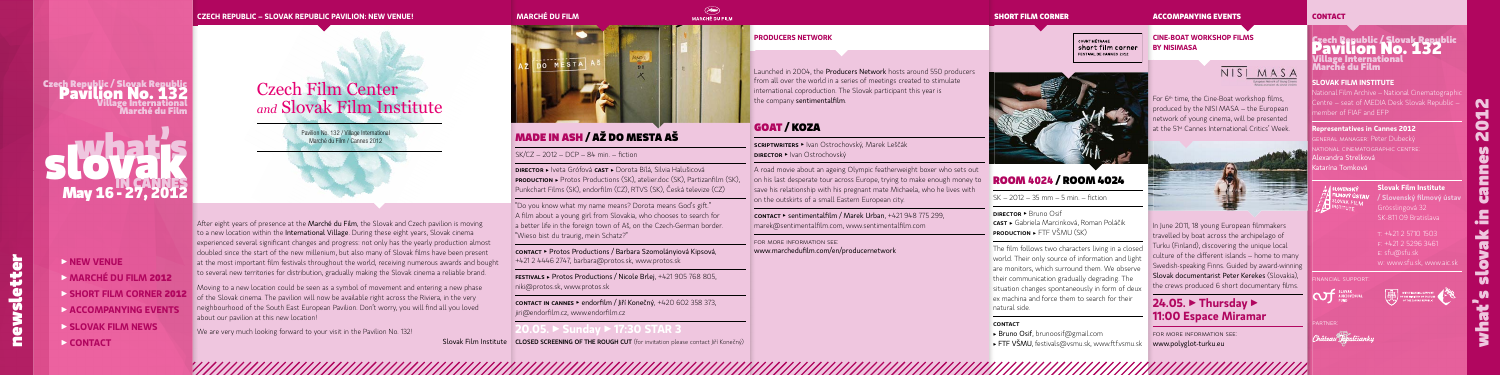## **SLOVAK FILM INSTITUTE**

ational Film Archive – National Cinematographic entre – seat of MEDIA Desk Slovak Republic – member of FIAF and EFP

### **Representatives in Cannes 2012**

general manager: Peter Dubecký national cinematographic centre: Alexandra Strelková Katarína Tomková



what's slovak in cannes **2012** Æ

N d  $\bullet$  $\overline{\mathbf{N}}$ 

**Slovak Film Institute / Slovenský fi lmový ústav** Grösslingová 32 SK-811 09 Bratislava

F: +421 2 5296 3461 w: www.sfu.sk, www.aic.sk





NISI MASA

In June 2011, 18 young European filmmakers travelled by boat across the archipelago of Turku (Finland), discovering the unique local culture of the different islands – home to many Swedish-speaking Finns. Guided by award-winning Slovak documentarist Peter Kerekes (Slovakia), the crews produced 6 short documentary films.

Pavilion No. 132 / Village International Marché du Film / Cannes 2012

### **SHORT FILM CORNER ACCOMPANYING EVENTS**

t: +421 2 5710 1503

# Czech Republic / Slovak Republic Pavilion No. **132** Village International Marché du Film

## GOAT / KOZAF

scriptwriters • Ivan Ostrochovský, Marek Leščák **DIRECTOR • Ivan Ostrochovský** 

F A road movie about an ageing Olympic featherweight boxer who sets out on his last desperate tour across Europe, trying to make enough money to save his relationship with his pregnant mate Michaela, who he lives with on the outskirts of a small Eastern European city. F

**CONTACT •** sentimentalfilm / Marek Urban,  $+421\,948\,775\,299$ , marek@sentimentalfilm.com, www.sentimentalfilm.com F

## **CONTACT**

### **MARCHÉ DU FILM**



# Czech Film Center *and* Slovak Film Institute

### **CZECH REPUBLIC – SLOVAK REPUBLIC PAVILION: NEW VENUE!**

for more information see: www.marchedufilm.com/en/producernetwork

## **PRODUCERS NETWORK**

Launched in 2004, the **Producers Network** hosts around 550 producers from all over the world in a series of meetings created to stimulate international coproduction. The Slovak participant this year is the company sentimentalfilm.

 contact in cannes k endorfi lm / Jiří Konečný, +420 602 358 373, jiri@endorfilm.cz, www.endorfilm.cz F

**20.05. ▶ Sunday ▶ 17:30 STAR 3** Slovak Film Institute | CLOSED SCREENING OF THE ROUGH CUT (for invitation please contact Jiří Konečný)

After eight years of presence at the Marché du Film, the Slovak and Czech pavilion is moving to a new location within the International Village. During these eight years, Slovak cinema experienced several significant changes and progress: not only has the yearly production almost doubled since the start of the new millenium, but also many of Slovak films have been present at the most important film festivals throughout the world, receiving numerous awards and bought to several new territories for distribution, gradually making the Slovak cinema a reliable brand.

# MADE IN ASH / AŽ DO MESTA AŠ

SK/CZ – 2012 – DCP – 84 min. – fi ction

DIRECTOR ▶ Iveta Grófová CAST ▶ Dorota Bílá, Silvia Halušicová **PRODUCTION •** Protos Productions (SK), atelier.doc (SK), Partizanfilm (SK), Punkchart Films (SK), endorfilm (CZ), RTVS (SK), Česká televize (CZ)

s l'obatis May **16 - 27, 2012**

For 6<sup>th</sup> time, the Cine-Boat workshop films, produced by the NISI MASA – the European network of young cinema, will be presented at the 51st Cannes International Critics' Week.

 "Do you know what my name means? Dorota means God's gi¾ ." A film about a young girl from Slovakia, who chooses to search for a better life in the foreign town of Aš, on the Czech-German border. "Wieso bist du traurig, mein Schatz?"

# f **24.05. ▶ Thursday ▶ 11:00 Espace Miramar**

 contact k Protos Productions / Barbara Szomolányiová Kipsová, +421 2 4446 2747, barbara@protos.sk, www.protos.sk



 festivals k Protos Productions / Nicole Brlej, +421 905 768 805, niki@protos.sk, www.protos.sk

The film follows two characters living in a closed world. Their only source of information and light are monitors, which surround them. We observe their communication gradually degrading. The situation changes spontaneously in form of deux ex machina and force them to search for their natural side.

### f CONTACT

- $\blacktriangleright$  Bruno Osif, brunoosif@gmail.com
- **FTF VŠMU**, festivals@vsmu.sk, www.ftf.vsmu.sk



Moving to a new location could be seen as a symbol of movement and entering a new phase of the Slovak cinema. The pavilion will now be available right across the Riviera, in the very neighbourhood of the South East European Pavilion. Don't worry, you will find all you loved about our pavilion at this new location!

We are very much looking forward to your visit in the Pavilion No. 132!



# Czech Republic / Slovak Republic Pavilion No. **132** Village International Marché du Film

**CINE-BOAT WORKSHOP FILMS** 

**BY NISIMASA**

 for more information see: www.polyglot-turku.eu

**COURT MÉTRAGE** short film corner **FESTIVAL DE CANNES 2012** 

# ROOM **4024** / ROOM 4024

SK – 2012 – 35 mm – 5 min. – fi ction

**DIRECTOR > Bruno Osif CAST ►** Gabriela Marcinková, Roman Poláčik  $PRODUCTION \rightarrow FTF VŠMIJ (SK)$